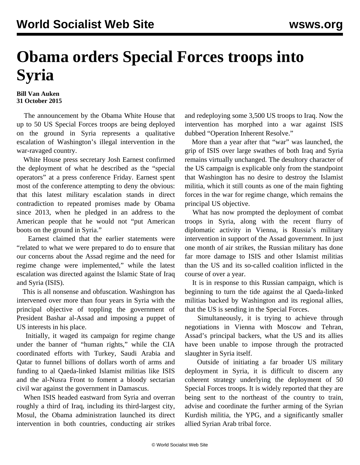## **Obama orders Special Forces troops into Syria**

## **Bill Van Auken 31 October 2015**

 The announcement by the Obama White House that up to 50 US Special Forces troops are being deployed on the ground in Syria represents a qualitative escalation of Washington's illegal intervention in the war-ravaged country.

 White House press secretary Josh Earnest confirmed the deployment of what he described as the "special operators" at a press conference Friday. Earnest spent most of the conference attempting to deny the obvious: that this latest military escalation stands in direct contradiction to repeated promises made by Obama since 2013, when he pledged in an address to the American people that he would not "put American boots on the ground in Syria."

 Earnest claimed that the earlier statements were "related to what we were prepared to do to ensure that our concerns about the Assad regime and the need for regime change were implemented," while the latest escalation was directed against the Islamic State of Iraq and Syria (ISIS).

 This is all nonsense and obfuscation. Washington has intervened over more than four years in Syria with the principal objective of toppling the government of President Bashar al-Assad and imposing a puppet of US interests in his place.

 Initially, it waged its campaign for regime change under the banner of "human rights," while the CIA coordinated efforts with Turkey, Saudi Arabia and Qatar to funnel billions of dollars worth of arms and funding to al Qaeda-linked Islamist militias like ISIS and the al-Nusra Front to foment a bloody sectarian civil war against the government in Damascus.

 When ISIS headed eastward from Syria and overran roughly a third of Iraq, including its third-largest city, Mosul, the Obama administration launched its direct intervention in both countries, conducting air strikes

and redeploying some 3,500 US troops to Iraq. Now the intervention has morphed into a war against ISIS dubbed "Operation Inherent Resolve."

 More than a year after that "war" was launched, the grip of ISIS over large swathes of both Iraq and Syria remains virtually unchanged. The desultory character of the US campaign is explicable only from the standpoint that Washington has no desire to destroy the Islamist militia, which it still counts as one of the main fighting forces in the war for regime change, which remains the principal US objective.

 What has now prompted the deployment of combat troops in Syria, along with the recent flurry of diplomatic activity in Vienna, is Russia's military intervention in support of the Assad government. In just one month of air strikes, the Russian military has done far more damage to ISIS and other Islamist militias than the US and its so-called coalition inflicted in the course of over a year.

 It is in response to this Russian campaign, which is beginning to turn the tide against the al Qaeda-linked militias backed by Washington and its regional allies, that the US is sending in the Special Forces.

 Simultaneously, it is trying to achieve through negotiations in Vienna with Moscow and Tehran, Assad's principal backers, what the US and its allies have been unable to impose through the protracted slaughter in Syria itself.

 Outside of initiating a far broader US military deployment in Syria, it is difficult to discern any coherent strategy underlying the deployment of 50 Special Forces troops. It is widely reported that they are being sent to the northeast of the country to train, advise and coordinate the further arming of the Syrian Kurdish militia, the YPG, and a significantly smaller allied Syrian Arab tribal force.